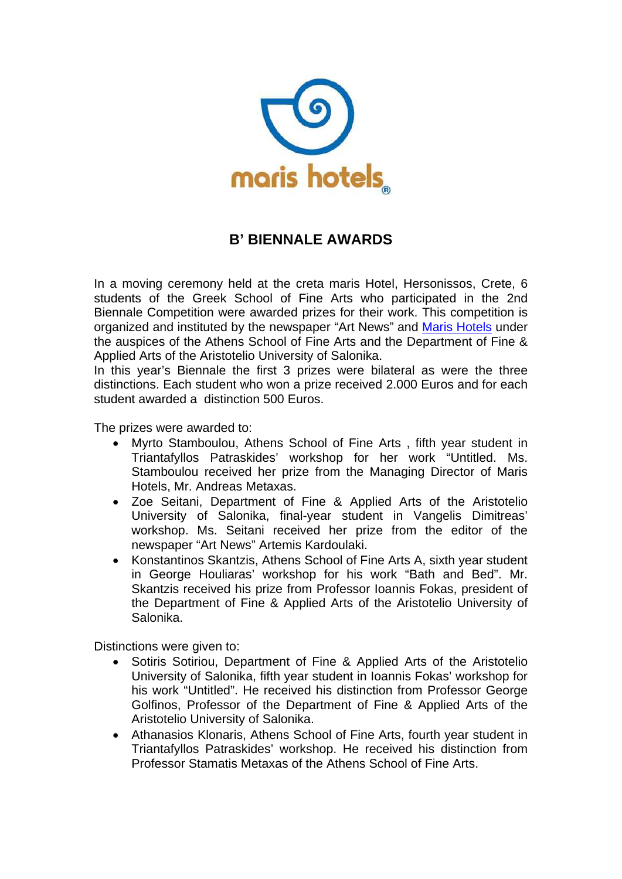

## **B' BIENNALE AWARDS**

In a moving ceremony held at the creta maris Hotel, Hersonissos, Crete, 6 students of the Greek School of Fine Arts who participated in the 2nd Biennale Competition were awarded prizes for their work. This competition is organized and instituted by the newspaper "Art News" and [Maris Hotels](http://www.maris.gr/) under the auspices of the Athens School of Fine Arts and the Department of Fine & Applied Arts of the Aristotelio University of Salonika.

In this year's Biennale the first 3 prizes were bilateral as were the three distinctions. Each student who won a prize received 2.000 Euros and for each student awarded a distinction 500 Euros.

The prizes were awarded to:

- Myrto Stamboulou, Athens School of Fine Arts , fifth year student in Triantafyllos Patraskides' workshop for her work "Untitled. Ms. Stamboulou received her prize from the Managing Director of Maris Hotels, Mr. Andreas Metaxas.
- Zoe Seitani, Department of Fine & Applied Arts of the Aristotelio University of Salonika, final-year student in Vangelis Dimitreas' workshop. Ms. Seitani received her prize from the editor of the newspaper "Art News" Artemis Kardoulaki.
- Konstantinos Skantzis, Athens School of Fine Arts A, sixth year student in George Houliaras' workshop for his work "Bath and Bed". Mr. Skantzis received his prize from Professor Ioannis Fokas, president of the Department of Fine & Applied Arts of the Aristotelio University of Salonika.

Distinctions were given to:

- Sotiris Sotiriou, Department of Fine & Applied Arts of the Aristotelio University of Salonika, fifth year student in Ioannis Fokas' workshop for his work "Untitled". He received his distinction from Professor George Golfinos, Professor of the Department of Fine & Applied Arts of the Aristotelio University of Salonika.
- Athanasios Klonaris, Athens School of Fine Arts, fourth year student in Triantafyllos Patraskides' workshop. He received his distinction from Professor Stamatis Metaxas of the Athens School of Fine Arts.